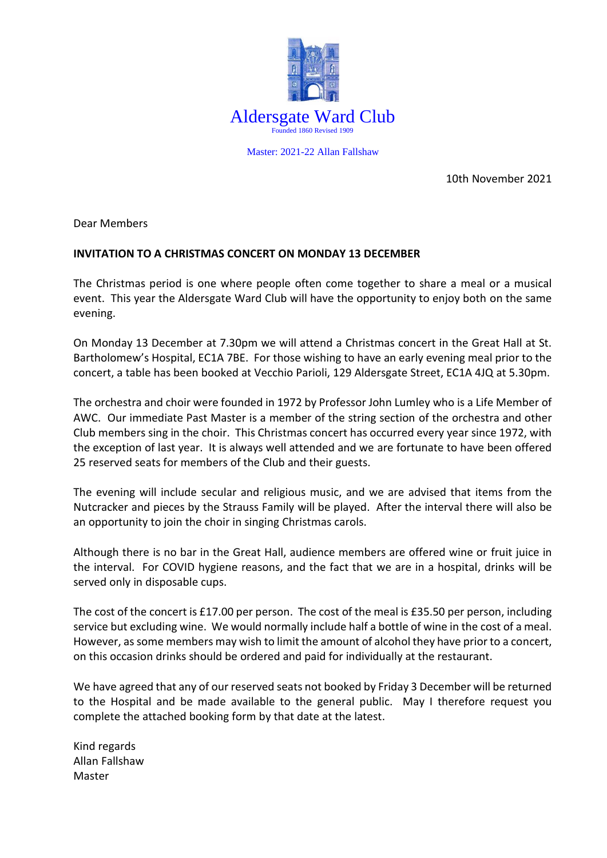

Master: 2021-22 Allan Fallshaw

10th November 2021

Dear Members

## **INVITATION TO A CHRISTMAS CONCERT ON MONDAY 13 DECEMBER**

The Christmas period is one where people often come together to share a meal or a musical event. This year the Aldersgate Ward Club will have the opportunity to enjoy both on the same evening.

On Monday 13 December at 7.30pm we will attend a Christmas concert in the Great Hall at St. Bartholomew's Hospital, EC1A 7BE. For those wishing to have an early evening meal prior to the concert, a table has been booked at Vecchio Parioli, 129 Aldersgate Street, EC1A 4JQ at 5.30pm.

The orchestra and choir were founded in 1972 by Professor John Lumley who is a Life Member of AWC. Our immediate Past Master is a member of the string section of the orchestra and other Club members sing in the choir. This Christmas concert has occurred every year since 1972, with the exception of last year. It is always well attended and we are fortunate to have been offered 25 reserved seats for members of the Club and their guests.

The evening will include secular and religious music, and we are advised that items from the Nutcracker and pieces by the Strauss Family will be played. After the interval there will also be an opportunity to join the choir in singing Christmas carols.

Although there is no bar in the Great Hall, audience members are offered wine or fruit juice in the interval. For COVID hygiene reasons, and the fact that we are in a hospital, drinks will be served only in disposable cups.

The cost of the concert is £17.00 per person. The cost of the meal is £35.50 per person, including service but excluding wine. We would normally include half a bottle of wine in the cost of a meal. However, as some members may wish to limit the amount of alcohol they have prior to a concert, on this occasion drinks should be ordered and paid for individually at the restaurant.

We have agreed that any of our reserved seats not booked by Friday 3 December will be returned to the Hospital and be made available to the general public. May I therefore request you complete the attached booking form by that date at the latest.

Kind regards Allan Fallshaw Master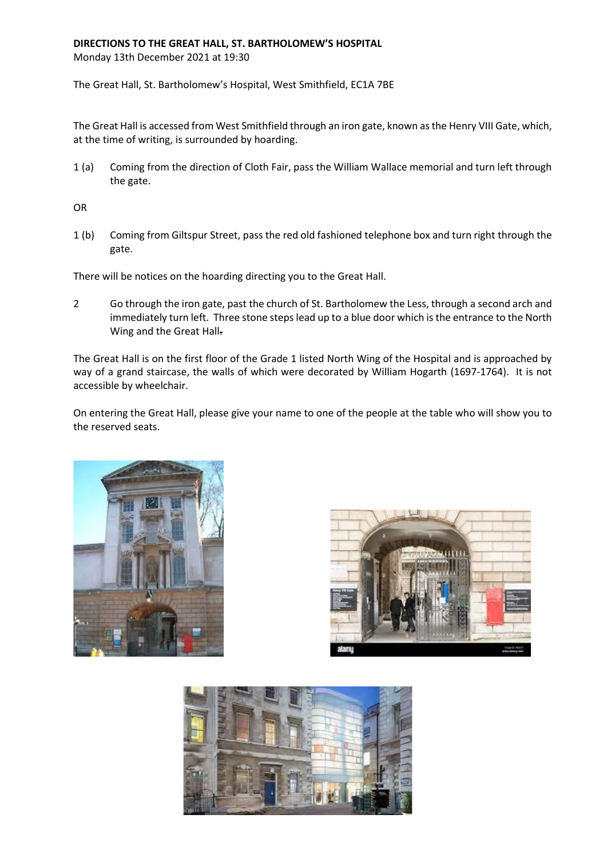## **DIRECTIONS TO THE GREAT HALL, ST. BARTHOLOMEW'S HOSPITAL**

Monday 13th December 2021 at 19:30

The Great Hall, St. Bartholomew's Hospital, West Smithfield, EC1A 7BE

The Great Hall is accessed from West Smithfield through an iron gate, known as the Henry VIII Gate, which, at the time of writing, is surrounded by hoarding.

1 (a) Coming from the direction of Cloth Fair, pass the William Wallace memorial and turn left through the gate.

OR

1 (b) Coming from Giltspur Street, pass the red old fashioned telephone box and turn right through the gate.

There will be notices on the hoarding directing you to the Great Hall.

2 Go through the iron gate, past the church of St. Bartholomew the Less, through a second arch and immediately turn left. Three stone steps lead up to a blue door which is the entrance to the North Wing and the Great Hall-

The Great Hall is on the first floor of the Grade 1 listed North Wing of the Hospital and is approached by way of a grand staircase, the walls of which were decorated by William Hogarth (1697-1764). It is not accessible by wheelchair.

On entering the Great Hall, please give your name to one of the people at the table who will show you to the reserved seats.